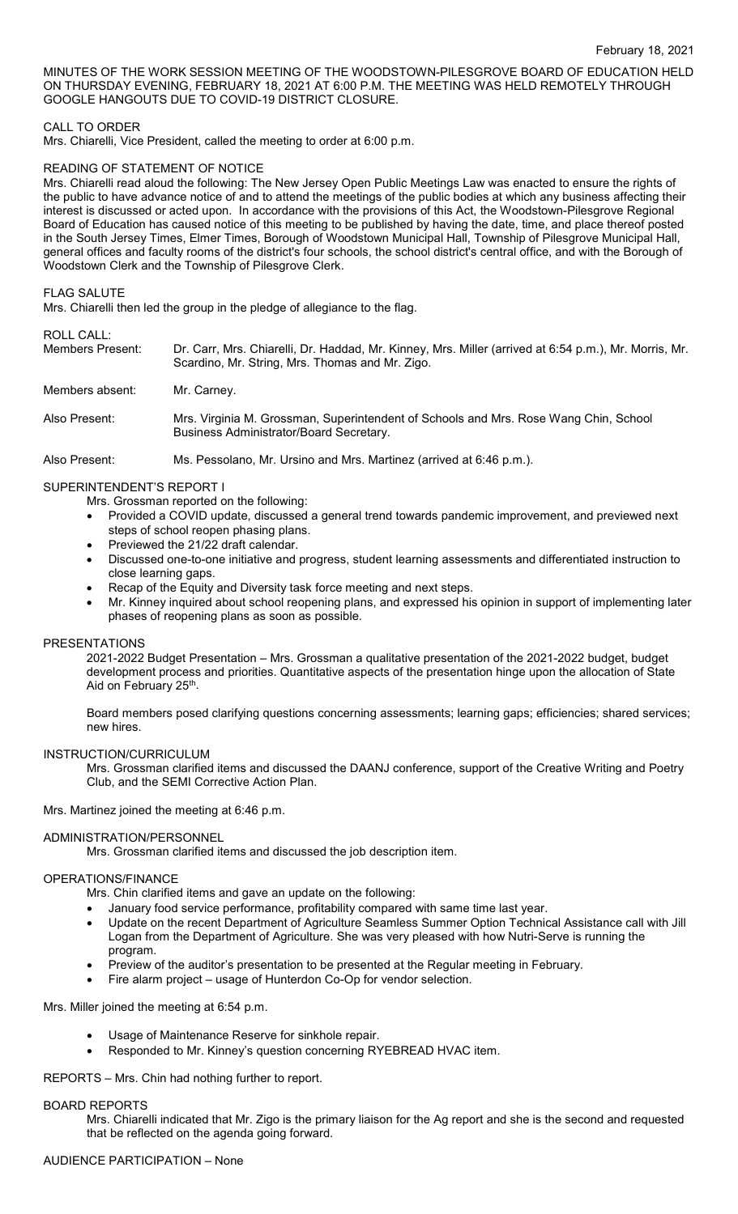MINUTES OF THE WORK SESSION MEETING OF THE WOODSTOWN-PILESGROVE BOARD OF EDUCATION HELD ON THURSDAY EVENING, FEBRUARY 18, 2021 AT 6:00 P.M. THE MEETING WAS HELD REMOTELY THROUGH GOOGLE HANGOUTS DUE TO COVID-19 DISTRICT CLOSURE.

# CALL TO ORDER

Mrs. Chiarelli, Vice President, called the meeting to order at 6:00 p.m.

# READING OF STATEMENT OF NOTICE

Mrs. Chiarelli read aloud the following: The New Jersey Open Public Meetings Law was enacted to ensure the rights of the public to have advance notice of and to attend the meetings of the public bodies at which any business affecting their interest is discussed or acted upon. In accordance with the provisions of this Act, the Woodstown-Pilesgrove Regional Board of Education has caused notice of this meeting to be published by having the date, time, and place thereof posted in the South Jersey Times, Elmer Times, Borough of Woodstown Municipal Hall, Township of Pilesgrove Municipal Hall, general offices and faculty rooms of the district's four schools, the school district's central office, and with the Borough of Woodstown Clerk and the Township of Pilesgrove Clerk.

## FLAG SALUTE

Mrs. Chiarelli then led the group in the pledge of allegiance to the flag.

#### ROLL CALL:

| Members Present: | Dr. Carr, Mrs. Chiarelli, Dr. Haddad, Mr. Kinney, Mrs. Miller (arrived at 6:54 p.m.), Mr. Morris, Mr.<br>Scardino, Mr. String, Mrs. Thomas and Mr. Zigo. |
|------------------|----------------------------------------------------------------------------------------------------------------------------------------------------------|
| Members absent:  | Mr. Carney.                                                                                                                                              |
| Also Present:    | Mrs. Virginia M. Grossman, Superintendent of Schools and Mrs. Rose Wang Chin, School<br>Business Administrator/Board Secretary.                          |
| Also Present:    | Ms. Pessolano, Mr. Ursino and Mrs. Martinez (arrived at 6:46 p.m.).                                                                                      |

# SUPERINTENDENT'S REPORT I

- Mrs. Grossman reported on the following:
- Provided a COVID update, discussed a general trend towards pandemic improvement, and previewed next steps of school reopen phasing plans.
- Previewed the 21/22 draft calendar.
- Discussed one-to-one initiative and progress, student learning assessments and differentiated instruction to close learning gaps.
- Recap of the Equity and Diversity task force meeting and next steps.
- Mr. Kinney inquired about school reopening plans, and expressed his opinion in support of implementing later phases of reopening plans as soon as possible.

#### PRESENTATIONS

2021-2022 Budget Presentation – Mrs. Grossman a qualitative presentation of the 2021-2022 budget, budget development process and priorities. Quantitative aspects of the presentation hinge upon the allocation of State Aid on February 25th.

Board members posed clarifying questions concerning assessments; learning gaps; efficiencies; shared services; new hires.

#### INSTRUCTION/CURRICULUM

Mrs. Grossman clarified items and discussed the DAANJ conference, support of the Creative Writing and Poetry Club, and the SEMI Corrective Action Plan.

Mrs. Martinez joined the meeting at 6:46 p.m.

#### ADMINISTRATION/PERSONNEL

Mrs. Grossman clarified items and discussed the job description item.

# OPERATIONS/FINANCE

Mrs. Chin clarified items and gave an update on the following:

- January food service performance, profitability compared with same time last year.
- Update on the recent Department of Agriculture Seamless Summer Option Technical Assistance call with Jill Logan from the Department of Agriculture. She was very pleased with how Nutri-Serve is running the program.
- Preview of the auditor's presentation to be presented at the Regular meeting in February.
- Fire alarm project usage of Hunterdon Co-Op for vendor selection.

Mrs. Miller joined the meeting at 6:54 p.m.

- Usage of Maintenance Reserve for sinkhole repair.
- Responded to Mr. Kinney's question concerning RYEBREAD HVAC item.

REPORTS – Mrs. Chin had nothing further to report.

#### BOARD REPORTS

Mrs. Chiarelli indicated that Mr. Zigo is the primary liaison for the Ag report and she is the second and requested that be reflected on the agenda going forward.